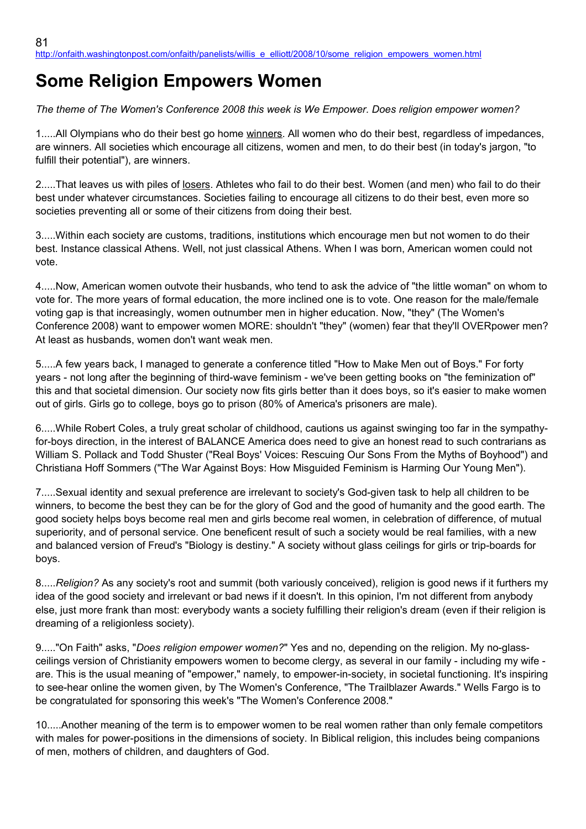## **Some Religion Empowers Women**

*The theme of The Women's Conference 2008 this week is We Empower. Does religion empower women?*

1.....All Olympians who do their best go home winners. All women who do their best, regardless of impedances, are winners. All societies which encourage all citizens, women and men, to do their best (in today's jargon, "to fulfill their potential"), are winners.

2.....That leaves us with piles of <u>losers</u>. Athletes who fail to do their best. Women (and men) who fail to do their best under whatever circumstances. Societies failing to encourage all citizens to do their best, even more so societies preventing all or some of their citizens from doing their best.

3.....Within each society are customs, traditions, institutions which encourage men but not women to do their best. Instance classical Athens. Well, not just classical Athens. When I was born, American women could not vote.

4.....Now, American women outvote their husbands, who tend to ask the advice of "the little woman" on whom to vote for. The more years of formal education, the more inclined one is to vote. One reason for the male/female voting gap is that increasingly, women outnumber men in higher education. Now, "they" (The Women's Conference 2008) want to empower women MORE: shouldn't "they" (women) fear that they'll OVERpower men? At least as husbands, women don't want weak men.

5.....A few years back, I managed to generate a conference titled "How to Make Men out of Boys." For forty years - not long after the beginning of third-wave feminism - we've been getting books on "the feminization of" this and that societal dimension. Our society now fits girls better than it does boys, so it's easier to make women out of girls. Girls go to college, boys go to prison (80% of America's prisoners are male).

6.....While Robert Coles, a truly great scholar of childhood, cautions us against swinging too far in the sympathyfor-boys direction, in the interest of BALANCE America does need to give an honest read to such contrarians as William S. Pollack and Todd Shuster ("Real Boys' Voices: Rescuing Our Sons From the Myths of Boyhood") and Christiana Hoff Sommers ("The War Against Boys: How Misguided Feminism is Harming Our Young Men").

7.....Sexual identity and sexual preference are irrelevant to society's God-given task to help all children to be winners, to become the best they can be for the glory of God and the good of humanity and the good earth. The good society helps boys become real men and girls become real women, in celebration of difference, of mutual superiority, and of personal service. One beneficent result of such a society would be real families, with a new and balanced version of Freud's "Biology is destiny." A society without glass ceilings for girls or trip-boards for boys.

8.....*Religion?* As any society's root and summit (both variously conceived), religion is good news if it furthers my idea of the good society and irrelevant or bad news if it doesn't. In this opinion, I'm not different from anybody else, just more frank than most: everybody wants a society fulfilling their religion's dream (even if their religion is dreaming of a religionless society).

9....."On Faith" asks, "*Does religion empower women?*" Yes and no, depending on the religion. My no-glassceilings version of Christianity empowers women to become clergy, as several in our family - including my wife are. This is the usual meaning of "empower," namely, to empower-in-society, in societal functioning. It's inspiring to see-hear online the women given, by The Women's Conference, "The Trailblazer Awards." Wells Fargo is to be congratulated for sponsoring this week's "The Women's Conference 2008."

10.....Another meaning of the term is to empower women to be real women rather than only female competitors with males for power-positions in the dimensions of society. In Biblical religion, this includes being companions of men, mothers of children, and daughters of God.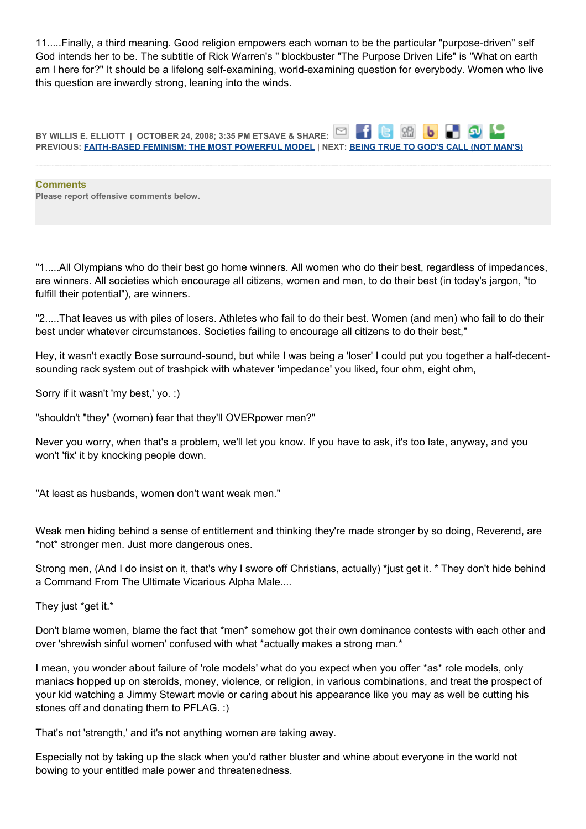11.....Finally, a third meaning. Good religion empowers each woman to be the particular "purpose-driven" self God intends her to be. The subtitle of Rick Warren's " blockbuster "The Purpose Driven Life" is "What on earth am I here for?" It should be a lifelong self-examining, world-examining question for everybody. Women who live this question are inwardly strong, leaning into the winds.

**BY WILLIS E. ELLIOTT | OCTOBER 24, 2008; 3:35 PM ETSAVE & SHARE:** -f G SB  $\mathbf{b}$ **PREVIOUS: [FAITH-BASED FEMINISM: THE MOST POWERFUL MODEL](http://onfaith.washingtonpost.com/onfaith/panelists/daisy_khan/2008/10/faith-based_feminism_the_most.html) | NEXT: [BEING TRUE TO GOD'S CALL \(NOT MAN'S\)](http://onfaith.washingtonpost.com/onfaith/panelists/m_cathleen_kaveny/2008/10/being_true_to_gods_call_not_ma.html)**

**Comments Please report offensive comments below.**

"1.....All Olympians who do their best go home winners. All women who do their best, regardless of impedances, are winners. All societies which encourage all citizens, women and men, to do their best (in today's jargon, "to fulfill their potential"), are winners.

"2.....That leaves us with piles of losers. Athletes who fail to do their best. Women (and men) who fail to do their best under whatever circumstances. Societies failing to encourage all citizens to do their best,"

Hey, it wasn't exactly Bose surround-sound, but while I was being a 'loser' I could put you together a half-decentsounding rack system out of trashpick with whatever 'impedance' you liked, four ohm, eight ohm,

Sorry if it wasn't 'my best,' yo. :)

"shouldn't "they" (women) fear that they'll OVERpower men?"

Never you worry, when that's a problem, we'll let you know. If you have to ask, it's too late, anyway, and you won't 'fix' it by knocking people down.

"At least as husbands, women don't want weak men."

Weak men hiding behind a sense of entitlement and thinking they're made stronger by so doing, Reverend, are \*not\* stronger men. Just more dangerous ones.

Strong men, (And I do insist on it, that's why I swore off Christians, actually) \*just get it. \* They don't hide behind a Command From The Ultimate Vicarious Alpha Male....

They just \*get it.\*

Don't blame women, blame the fact that \*men\* somehow got their own dominance contests with each other and over 'shrewish sinful women' confused with what \*actually makes a strong man.\*

I mean, you wonder about failure of 'role models' what do you expect when you offer \*as\* role models, only maniacs hopped up on steroids, money, violence, or religion, in various combinations, and treat the prospect of your kid watching a Jimmy Stewart movie or caring about his appearance like you may as well be cutting his stones off and donating them to PFLAG. :)

That's not 'strength,' and it's not anything women are taking away.

Especially not by taking up the slack when you'd rather bluster and whine about everyone in the world not bowing to your entitled male power and threatenedness.